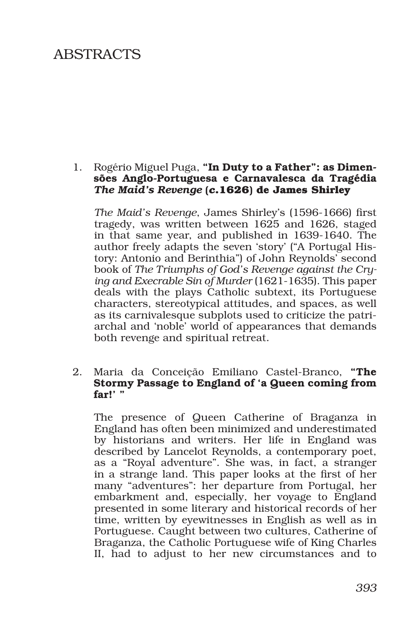# ABSTRACTS

#### 1. Rogério Miguel Puga, "In Duty to a Father": as Dimensões Anglo-Portuguesa e Carnavalesca da Tragédia *The Maid's Revenge* **(***c***.1626) de James Shirley**

*The Maid's Revenge*, James Shirley's (1596-1666) first tragedy, was written between 1625 and 1626, staged in that same year, and published in 1639-1640. The author freely adapts the seven 'story' ("A Portugal History: Antonio and Berinthia") of John Reynolds' second book of *The Triumphs of God's Revenge against the Crying and Execrable Sin of Murder* (1621-1635). This paper deals with the plays Catholic subtext, its Portuguese characters, stereotypical attitudes, and spaces, as well as its carnivalesque subplots used to criticize the patriarchal and 'noble' world of appearances that demands both revenge and spiritual retreat.

#### 2. Maria da Conceição Emiliano Castel-Branco, "The Stormy Passage to England of 'a Queen coming from far!' "

The presence of Queen Catherine of Braganza in England has often been minimized and underestimated by historians and writers. Her life in England was described by Lancelot Reynolds, a contemporary poet, as a "Royal adventure". She was, in fact, a stranger in a strange land. This paper looks at the first of her many "adventures": her departure from Portugal, her embarkment and, especially, her voyage to England presented in some literary and historical records of her time, written by eyewitnesses in English as well as in Portuguese. Caught between two cultures, Catherine of Braganza, the Catholic Portuguese wife of King Charles II, had to adjust to her new circumstances and to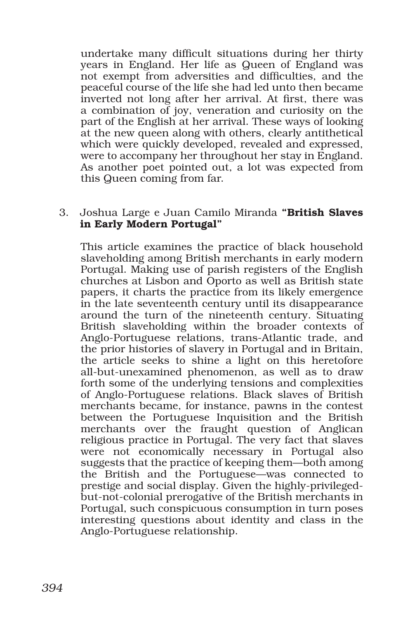undertake many difficult situations during her thirty years in England. Her life as Queen of England was not exempt from adversities and difficulties, and the peaceful course of the life she had led unto then became inverted not long after her arrival. At first, there was a combination of joy, veneration and curiosity on the part of the English at her arrival. These ways of looking at the new queen along with others, clearly antithetical which were quickly developed, revealed and expressed, were to accompany her throughout her stay in England. As another poet pointed out, a lot was expected from this Queen coming from far.

#### 3. Joshua Large e Juan Camilo Miranda "British Slaves in Early Modern Portugal"

This article examines the practice of black household slaveholding among British merchants in early modern Portugal. Making use of parish registers of the English churches at Lisbon and Oporto as well as British state papers, it charts the practice from its likely emergence in the late seventeenth century until its disappearance around the turn of the nineteenth century. Situating British slaveholding within the broader contexts of Anglo-Portuguese relations, trans-Atlantic trade, and the prior histories of slavery in Portugal and in Britain, the article seeks to shine a light on this heretofore all-but-unexamined phenomenon, as well as to draw forth some of the underlying tensions and complexities of Anglo-Portuguese relations. Black slaves of British merchants became, for instance, pawns in the contest between the Portuguese Inquisition and the British merchants over the fraught question of Anglican religious practice in Portugal. The very fact that slaves were not economically necessary in Portugal also suggests that the practice of keeping them—both among the British and the Portuguese—was connected to prestige and social display. Given the highly-privilegedbut-not-colonial prerogative of the British merchants in Portugal, such conspicuous consumption in turn poses interesting questions about identity and class in the Anglo-Portuguese relationship.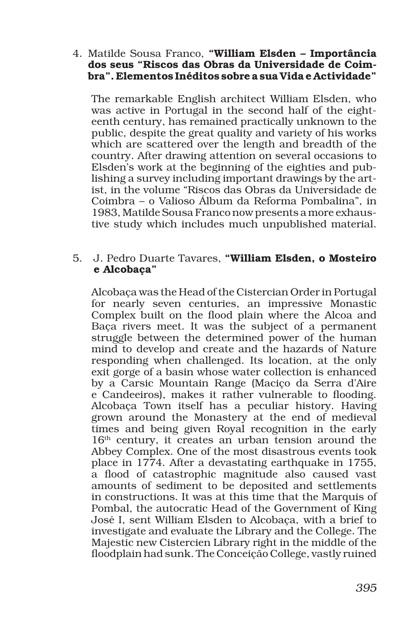4. Matilde Sousa Franco, "William Elsden – Importância dos seus "Riscos das Obras da Universidade de Coimbra". Elementos Inéditos sobre a sua Vida e Actividade"

The remarkable English architect William Elsden, who was active in Portugal in the second half of the eighteenth century, has remained practically unknown to the public, despite the great quality and variety of his works which are scattered over the length and breadth of the country. After drawing attention on several occasions to Elsden's work at the beginning of the eighties and publishing a survey including important drawings by the artist, in the volume "Riscos das Obras da Universidade de Coimbra – o Valioso Álbum da Reforma Pombalina", in 1983, Matilde Sousa Franco now presents a more exhaustive study which includes much unpublished material.

# 5. J. Pedro Duarte Tavares, "William Elsden, o Mosteiro e Alcobaça"

Alcobaça was the Head of the Cistercian Order in Portugal for nearly seven centuries, an impressive Monastic Complex built on the flood plain where the Alcoa and Baça rivers meet. It was the subject of a permanent struggle between the determined power of the human mind to develop and create and the hazards of Nature responding when challenged. Its location, at the only exit gorge of a basin whose water collection is enhanced by a Carsic Mountain Range (Maciço da Serra d'Aire e Candeeiros), makes it rather vulnerable to flooding. Alcobaça Town itself has a peculiar history. Having grown around the Monastery at the end of medieval times and being given Royal recognition in the early 16th century, it creates an urban tension around the Abbey Complex. One of the most disastrous events took place in 1774. After a devastating earthquake in 1755, a flood of catastrophic magnitude also caused vast amounts of sediment to be deposited and settlements in constructions. It was at this time that the Marquis of Pombal, the autocratic Head of the Government of King José I, sent William Elsden to Alcobaça, with a brief to investigate and evaluate the Library and the College. The Majestic new Cistercien Library right in the middle of the floodplain had sunk. The Conceição College, vastly ruined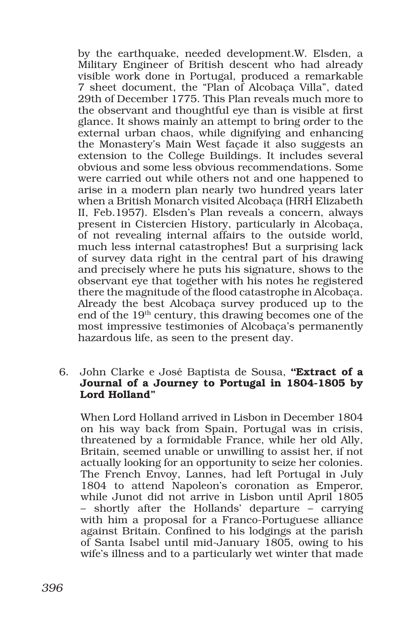by the earthquake, needed development.W. Elsden, a Military Engineer of British descent who had already visible work done in Portugal, produced a remarkable 7 sheet document, the "Plan of Alcobaça Villa", dated 29th of December 1775. This Plan reveals much more to the observant and thoughtful eye than is visible at first glance. It shows mainly an attempt to bring order to the external urban chaos, while dignifying and enhancing the Monastery's Main West façade it also suggests an extension to the College Buildings. It includes several obvious and some less obvious recommendations. Some were carried out while others not and one happened to arise in a modern plan nearly two hundred years later when a British Monarch visited Alcobaça (HRH Elizabeth II, Feb.1957). Elsden's Plan reveals a concern, always present in Cistercien History, particularly in Alcobaça, of not revealing internal affairs to the outside world, much less internal catastrophes! But a surprising lack of survey data right in the central part of his drawing and precisely where he puts his signature, shows to the observant eye that together with his notes he registered there the magnitude of the flood catastrophe in Alcobaça. Already the best Alcobaça survey produced up to the end of the 19th century, this drawing becomes one of the most impressive testimonies of Alcobaça's permanently hazardous life, as seen to the present day.

# 6. John Clarke e José Baptista de Sousa, **"**Extract of a Journal of a Journey to Portugal in 1804-1805 by Lord Holland"

When Lord Holland arrived in Lisbon in December 1804 on his way back from Spain, Portugal was in crisis, threatened by a formidable France, while her old Ally, Britain, seemed unable or unwilling to assist her, if not actually looking for an opportunity to seize her colonies. The French Envoy, Lannes, had left Portugal in July 1804 to attend Napoleon's coronation as Emperor, while Junot did not arrive in Lisbon until April 1805 – shortly after the Hollands' departure – carrying with him a proposal for a Franco-Portuguese alliance against Britain. Confined to his lodgings at the parish of Santa Isabel until mid-January 1805, owing to his wife's illness and to a particularly wet winter that made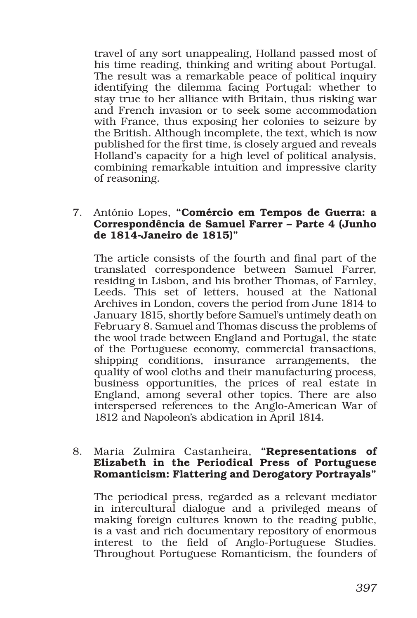travel of any sort unappealing, Holland passed most of his time reading, thinking and writing about Portugal. The result was a remarkable peace of political inquiry identifying the dilemma facing Portugal: whether to stay true to her alliance with Britain, thus risking war and French invasion or to seek some accommodation with France, thus exposing her colonies to seizure by the British. Although incomplete, the text, which is now published for the first time, is closely argued and reveals Holland's capacity for a high level of political analysis, combining remarkable intuition and impressive clarity of reasoning.

#### 7. António Lopes, "Comércio em Tempos de Guerra: a Correspondência de Samuel Farrer – Parte 4 (Junho de 1814-Janeiro de 1815)"

The article consists of the fourth and final part of the translated correspondence between Samuel Farrer, residing in Lisbon, and his brother Thomas, of Farnley, Leeds. This set of letters, housed at the National Archives in London, covers the period from June 1814 to January 1815, shortly before Samuel's untimely death on February 8. Samuel and Thomas discuss the problems of the wool trade between England and Portugal, the state of the Portuguese economy, commercial transactions, shipping conditions, insurance arrangements, the quality of wool cloths and their manufacturing process, business opportunities, the prices of real estate in England, among several other topics. There are also interspersed references to the Anglo-American War of 1812 and Napoleon's abdication in April 1814.

#### 8. Maria Zulmira Castanheira, "Representations of Elizabeth in the Periodical Press of Portuguese Romanticism: Flattering and Derogatory Portrayals"

The periodical press, regarded as a relevant mediator in intercultural dialogue and a privileged means of making foreign cultures known to the reading public, is a vast and rich documentary repository of enormous interest to the field of Anglo-Portuguese Studies. Throughout Portuguese Romanticism, the founders of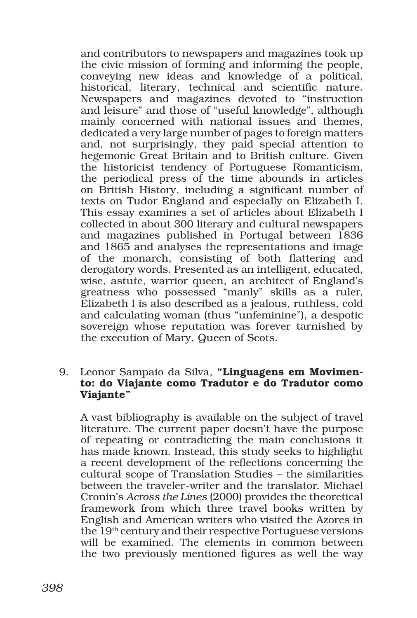and contributors to newspapers and magazines took up the civic mission of forming and informing the people, conveying new ideas and knowledge of a political, historical, literary, technical and scientific nature. Newspapers and magazines devoted to "instruction and leisure" and those of "useful knowledge", although mainly concerned with national issues and themes, dedicated a very large number of pages to foreign matters and, not surprisingly, they paid special attention to hegemonic Great Britain and to British culture. Given the historicist tendency of Portuguese Romanticism, the periodical press of the time abounds in articles on British History, including a significant number of texts on Tudor England and especially on Elizabeth I. This essay examines a set of articles about Elizabeth I collected in about 300 literary and cultural newspapers and magazines published in Portugal between 1836 and 1865 and analyses the representations and image of the monarch, consisting of both flattering and derogatory words. Presented as an intelligent, educated, wise, astute, warrior queen, an architect of England's greatness who possessed "manly" skills as a ruler, Elizabeth I is also described as a jealous, ruthless, cold and calculating woman (thus "unfeminine"), a despotic sovereign whose reputation was forever tarnished by the execution of Mary, Queen of Scots.

#### 9. Leonor Sampaio da Silva, "Linguagens em Movimento: do Viajante como Tradutor e do Tradutor como Viajante"

A vast bibliography is available on the subject of travel literature. The current paper doesn't have the purpose of repeating or contradicting the main conclusions it has made known. Instead, this study seeks to highlight a recent development of the reflections concerning the cultural scope of Translation Studies – the similarities between the traveler-writer and the translator. Michael Cronin's *Across the Lines* (2000) provides the theoretical framework from which three travel books written by English and American writers who visited the Azores in the 19th century and their respective Portuguese versions will be examined. The elements in common between the two previously mentioned figures as well the way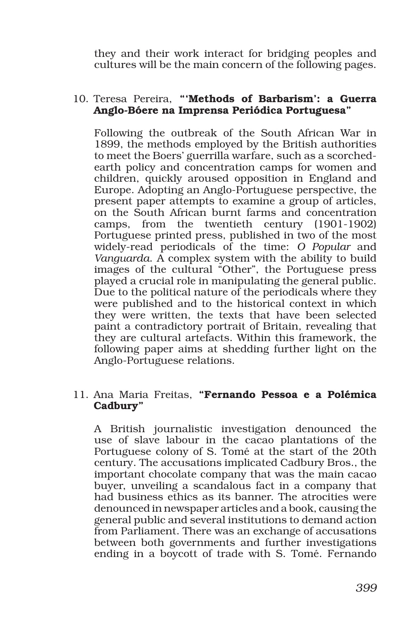they and their work interact for bridging peoples and cultures will be the main concern of the following pages.

# 10. Teresa Pereira, "'Methods of Barbarism': a Guerra Anglo-Bóere na Imprensa Periódica Portuguesa"

Following the outbreak of the South African War in 1899, the methods employed by the British authorities to meet the Boers' guerrilla warfare, such as a scorchedearth policy and concentration camps for women and children, quickly aroused opposition in England and Europe. Adopting an Anglo-Portuguese perspective, the present paper attempts to examine a group of articles, on the South African burnt farms and concentration camps, from the twentieth century (1901-1902) Portuguese printed press, published in two of the most widely-read periodicals of the time: *O Popular* and *Vanguarda*. A complex system with the ability to build images of the cultural "Other", the Portuguese press played a crucial role in manipulating the general public. Due to the political nature of the periodicals where they were published and to the historical context in which they were written, the texts that have been selected paint a contradictory portrait of Britain, revealing that they are cultural artefacts. Within this framework, the following paper aims at shedding further light on the Anglo-Portuguese relations.

#### 11. Ana Maria Freitas, "Fernando Pessoa e a Polémica Cadbury"

A British journalistic investigation denounced the use of slave labour in the cacao plantations of the Portuguese colony of S. Tomé at the start of the 20th century. The accusations implicated Cadbury Bros., the important chocolate company that was the main cacao buyer, unveiling a scandalous fact in a company that had business ethics as its banner. The atrocities were denounced in newspaper articles and a book, causing the general public and several institutions to demand action from Parliament. There was an exchange of accusations between both governments and further investigations ending in a boycott of trade with S. Tomé. Fernando